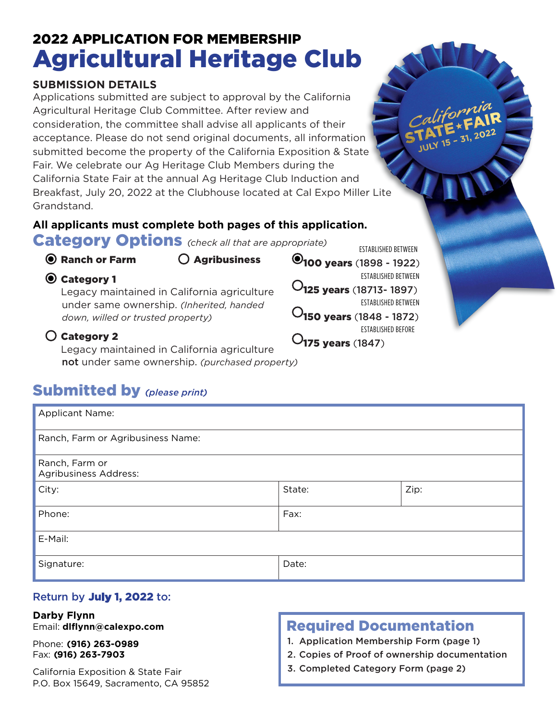# 2022 APPLICATION FOR MEMBERSHIP Agricultural Heritage Club

#### **SUBMISSION DETAILS**

Applications submitted are subject to approval by the California Agricultural Heritage Club Committee. After review and consideration, the committee shall advise all applicants of their acceptance. Please do not send original documents, all information submitted become the property of the California Exposition & State Fair. We celebrate our Ag Heritage Club Members during the California State Fair at the annual Ag Heritage Club Induction and Breakfast, July 20, 2022 at the Clubhouse located at Cal Expo Miller Lite Grandstand.

## **All applicants must complete both pages of this application.**

Category Options *(check all that are appropriate)*

#### $\odot$  Ranch or Farm  $\odot$  Agribusiness

**⊙** Category 1

Legacy maintained in California agriculture under same ownership. *(Inherited, handed down, willed or trusted property)* 

### Category 2

Legacy maintained in California agriculture not under same ownership. *(purchased property)*

## Submitted by *(please print)*

| <b>Applicant Name:</b>                  |        |      |  |
|-----------------------------------------|--------|------|--|
| Ranch, Farm or Agribusiness Name:       |        |      |  |
| Ranch, Farm or<br>Agribusiness Address: |        |      |  |
| City:                                   | State: | Zip: |  |
| Phone:                                  | Fax:   |      |  |
| E-Mail:                                 |        |      |  |
| Signature:                              | Date:  |      |  |

### Return by **July 1, 2022** to:

#### **Darby Flynn** Email: **dlflynn@calexpo.com**

Phone: **(916) 263-0989** Fax: **(916) 263-7903**

California Exposition & State Fair P.O. Box 15649, Sacramento, CA 95852

## Required Documentation

1. Application Membership Form (page 1)

- 2. Copies of Proof of ownership documentation
- 3. Completed Category Form (page 2)



ESTABLISHED BETWEEN

ESTABLISHED BETWEEN

150 years (1848 - 1872) ESTABLISHED BEFORE

 $O_{175}$  years (1847)